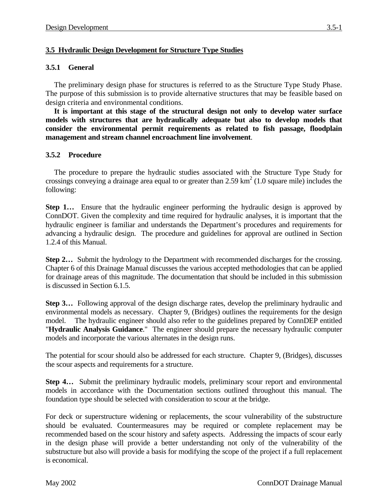## **3.5 Hydraulic Design Development for Structure Type Studies**

## **3.5.1 General**

The preliminary design phase for structures is referred to as the Structure Type Study Phase. The purpose of this submission is to provide alternative structures that may be feasible based on design criteria and environmental conditions.

**It is important at this stage of the structural design not only to develop water surface models with structures that are hydraulically adequate but also to develop models that consider the environmental permit requirements as related to fish passage, floodplain management and stream channel encroachment line involvement**.

## **3.5.2 Procedure**

The procedure to prepare the hydraulic studies associated with the Structure Type Study for crossings conveying a drainage area equal to or greater than  $2.59 \text{ km}^2$  (1.0 square mile) includes the following:

**Step 1…** Ensure that the hydraulic engineer performing the hydraulic design is approved by ConnDOT. Given the complexity and time required for hydraulic analyses, it is important that the hydraulic engineer is familiar and understands the Department's procedures and requirements for advancing a hydraulic design. The procedure and guidelines for approval are outlined in Section 1.2.4 of this Manual.

**Step 2…** Submit the hydrology to the Department with recommended discharges for the crossing. Chapter 6 of this Drainage Manual discusses the various accepted methodologies that can be applied for drainage areas of this magnitude. The documentation that should be included in this submission is discussed in Section 6.1.5.

**Step 3…** Following approval of the design discharge rates, develop the preliminary hydraulic and environmental models as necessary. Chapter 9, (Bridges) outlines the requirements for the design model.The hydraulic engineer should also refer to the guidelines prepared by ConnDEP entitled "**Hydraulic Analysis Guidance**." The engineer should prepare the necessary hydraulic computer models and incorporate the various alternates in the design runs.

The potential for scour should also be addressed for each structure. Chapter 9, (Bridges), discusses the scour aspects and requirements for a structure.

**Step 4…** Submit the preliminary hydraulic models, preliminary scour report and environmental models in accordance with the Documentation sections outlined throughout this manual. The foundation type should be selected with consideration to scour at the bridge.

For deck or superstructure widening or replacements, the scour vulnerability of the substructure should be evaluated. Countermeasures may be required or complete replacement may be recommended based on the scour history and safety aspects. Addressing the impacts of scour early in the design phase will provide a better understanding not only of the vulnerability of the substructure but also will provide a basis for modifying the scope of the project if a full replacement is economical.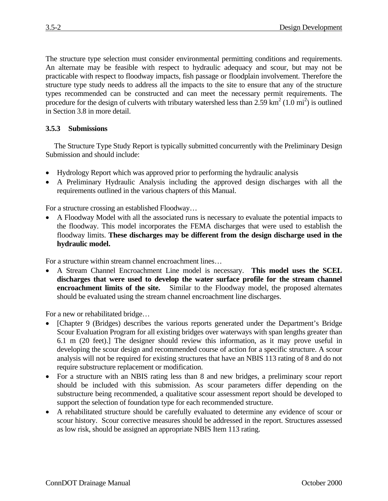The structure type selection must consider environmental permitting conditions and requirements. An alternate may be feasible with respect to hydraulic adequacy and scour, but may not be practicable with respect to floodway impacts, fish passage or floodplain involvement. Therefore the structure type study needs to address all the impacts to the site to ensure that any of the structure types recommended can be constructed and can meet the necessary permit requirements. The procedure for the design of culverts with tributary watershed less than  $2.59 \text{ km}^2 (1.0 \text{ mi}^2)$  is outlined in Section 3.8 in more detail.

## **3.5.3 Submissions**

The Structure Type Study Report is typically submitted concurrently with the Preliminary Design Submission and should include:

- Hydrology Report which was approved prior to performing the hydraulic analysis
- A Preliminary Hydraulic Analysis including the approved design discharges with all the requirements outlined in the various chapters of this Manual.

For a structure crossing an established Floodway…

• A Floodway Model with all the associated runs is necessary to evaluate the potential impacts to the floodway. This model incorporates the FEMA discharges that were used to establish the floodway limits. **These discharges may be different from the design discharge used in the hydraulic model.**

For a structure within stream channel encroachment lines…

• A Stream Channel Encroachment Line model is necessary. **This model uses the SCEL discharges that were used to develop the water surface profile for the stream channel encroachment limits of the site.** Similar to the Floodway model, the proposed alternates should be evaluated using the stream channel encroachment line discharges.

For a new or rehabilitated bridge…

- [Chapter 9 (Bridges) describes the various reports generated under the Department's Bridge Scour Evaluation Program for all existing bridges over waterways with span lengths greater than 6.1 m (20 feet).] The designer should review this information, as it may prove useful in developing the scour design and recommended course of action for a specific structure. A scour analysis will not be required for existing structures that have an NBIS 113 rating of 8 and do not require substructure replacement or modification.
- For a structure with an NBIS rating less than 8 and new bridges, a preliminary scour report should be included with this submission. As scour parameters differ depending on the substructure being recommended, a qualitative scour assessment report should be developed to support the selection of foundation type for each recommended structure.
- A rehabilitated structure should be carefully evaluated to determine any evidence of scour or scour history. Scour corrective measures should be addressed in the report. Structures assessed as low risk, should be assigned an appropriate NBIS Item 113 rating.